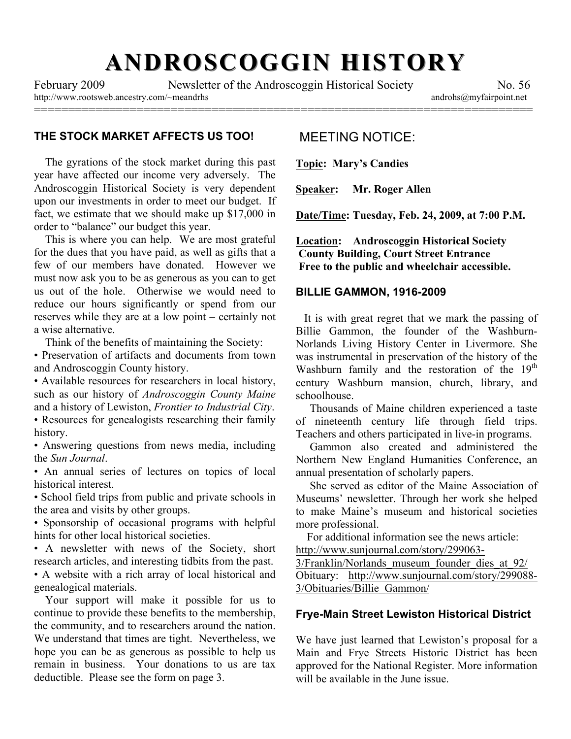# **ANDROSCOGGIN HISTORY ANDROSCOGGIN HISTORY**

=========================================================================

http://www.rootsweb.ancestry.com/~meandrhs androhs@myfairpoint.net

February 2009 Newsletter of the Androscoggin Historical Society No. 56

## **THE STOCK MARKET AFFECTS US TOO!**

The gyrations of the stock market during this past year have affected our income very adversely. The Androscoggin Historical Society is very dependent upon our investments in order to meet our budget. If fact, we estimate that we should make up \$17,000 in order to "balance" our budget this year.

 This is where you can help. We are most grateful for the dues that you have paid, as well as gifts that a few of our members have donated. However we must now ask you to be as generous as you can to get us out of the hole. Otherwise we would need to reduce our hours significantly or spend from our reserves while they are at a low point – certainly not a wise alternative.

Think of the benefits of maintaining the Society:

• Preservation of artifacts and documents from town and Androscoggin County history.

• Available resources for researchers in local history, such as our history of *Androscoggin County Maine* and a history of Lewiston, *Frontier to Industrial City*.

• Resources for genealogists researching their family history.

• Answering questions from news media, including the *Sun Journal*.

• An annual series of lectures on topics of local historical interest.

• School field trips from public and private schools in the area and visits by other groups.

• Sponsorship of occasional programs with helpful hints for other local historical societies.

• A newsletter with news of the Society, short research articles, and interesting tidbits from the past.

• A website with a rich array of local historical and genealogical materials.

 Your support will make it possible for us to continue to provide these benefits to the membership, the community, and to researchers around the nation. We understand that times are tight. Nevertheless, we hope you can be as generous as possible to help us remain in business. Your donations to us are tax deductible. Please see the form on page 3.

# MEETING NOTICE:

**Topic: Mary's Candies**

**Speaker: Mr. Roger Allen**

**Date/Time: Tuesday, Feb. 24, 2009, at 7:00 P.M.**

**Location: Androscoggin Historical Society County Building, Court Street Entrance Free to the public and wheelchair accessible.**

#### **BILLIE GAMMON, 1916-2009**

 It is with great regret that we mark the passing of Billie Gammon, the founder of the Washburn-Norlands Living History Center in Livermore. She was instrumental in preservation of the history of the Washburn family and the restoration of the  $19<sup>th</sup>$ century Washburn mansion, church, library, and schoolhouse.

 Thousands of Maine children experienced a taste of nineteenth century life through field trips. Teachers and others participated in live-in programs.

 Gammon also created and administered the Northern New England Humanities Conference, an annual presentation of scholarly papers.

 She served as editor of the Maine Association of Museums' newsletter. Through her work she helped to make Maine's museum and historical societies more professional.

 For additional information see the news article: http://www.sunjournal.com/story/299063-

3/Franklin/Norlands\_museum\_founder\_dies\_at\_92/ Obituary: http://www.sunjournal.com/story/299088- 3/Obituaries/Billie\_Gammon/

### **Frye-Main Street Lewiston Historical District**

We have just learned that Lewiston's proposal for a Main and Frye Streets Historic District has been approved for the National Register. More information will be available in the June issue.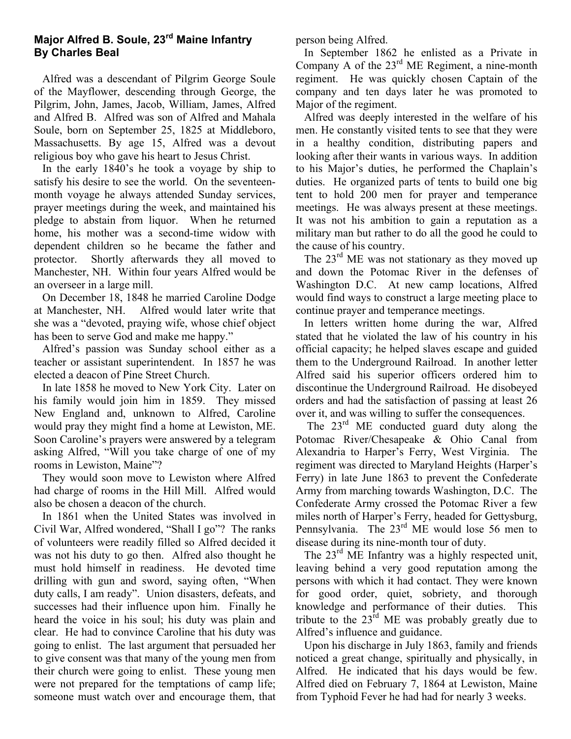# **Major Alfred B. Soule, 23rd Maine Infantry By Charles Beal**

 Alfred was a descendant of Pilgrim George Soule of the Mayflower, descending through George, the Pilgrim, John, James, Jacob, William, James, Alfred and Alfred B. Alfred was son of Alfred and Mahala Soule, born on September 25, 1825 at Middleboro, Massachusetts. By age 15, Alfred was a devout religious boy who gave his heart to Jesus Christ.

 In the early 1840's he took a voyage by ship to satisfy his desire to see the world. On the seventeenmonth voyage he always attended Sunday services, prayer meetings during the week, and maintained his pledge to abstain from liquor. When he returned home, his mother was a second-time widow with dependent children so he became the father and protector. Shortly afterwards they all moved to Manchester, NH. Within four years Alfred would be an overseer in a large mill.

 On December 18, 1848 he married Caroline Dodge at Manchester, NH. Alfred would later write that she was a "devoted, praying wife, whose chief object has been to serve God and make me happy."

 Alfred's passion was Sunday school either as a teacher or assistant superintendent. In 1857 he was elected a deacon of Pine Street Church.

 In late 1858 he moved to New York City. Later on his family would join him in 1859. They missed New England and, unknown to Alfred, Caroline would pray they might find a home at Lewiston, ME. Soon Caroline's prayers were answered by a telegram asking Alfred, "Will you take charge of one of my rooms in Lewiston, Maine"?

 They would soon move to Lewiston where Alfred had charge of rooms in the Hill Mill. Alfred would also be chosen a deacon of the church.

 In 1861 when the United States was involved in Civil War, Alfred wondered, "Shall I go"? The ranks of volunteers were readily filled so Alfred decided it was not his duty to go then. Alfred also thought he must hold himself in readiness. He devoted time drilling with gun and sword, saying often, "When duty calls, I am ready". Union disasters, defeats, and successes had their influence upon him. Finally he heard the voice in his soul; his duty was plain and clear. He had to convince Caroline that his duty was going to enlist. The last argument that persuaded her to give consent was that many of the young men from their church were going to enlist. These young men were not prepared for the temptations of camp life; someone must watch over and encourage them, that person being Alfred.

 In September 1862 he enlisted as a Private in Company A of the 23<sup>rd</sup> ME Regiment, a nine-month regiment. He was quickly chosen Captain of the company and ten days later he was promoted to Major of the regiment.

 Alfred was deeply interested in the welfare of his men. He constantly visited tents to see that they were in a healthy condition, distributing papers and looking after their wants in various ways. In addition to his Major's duties, he performed the Chaplain's duties. He organized parts of tents to build one big tent to hold 200 men for prayer and temperance meetings. He was always present at these meetings. It was not his ambition to gain a reputation as a military man but rather to do all the good he could to the cause of his country.

The 23<sup>rd</sup> ME was not stationary as they moved up and down the Potomac River in the defenses of Washington D.C. At new camp locations, Alfred would find ways to construct a large meeting place to continue prayer and temperance meetings.

 In letters written home during the war, Alfred stated that he violated the law of his country in his official capacity; he helped slaves escape and guided them to the Underground Railroad. In another letter Alfred said his superior officers ordered him to discontinue the Underground Railroad. He disobeyed orders and had the satisfaction of passing at least 26 over it, and was willing to suffer the consequences.

The  $23<sup>rd</sup>$  ME conducted guard duty along the Potomac River/Chesapeake & Ohio Canal from Alexandria to Harper's Ferry, West Virginia. The regiment was directed to Maryland Heights (Harper's Ferry) in late June 1863 to prevent the Confederate Army from marching towards Washington, D.C. The Confederate Army crossed the Potomac River a few miles north of Harper's Ferry, headed for Gettysburg, Pennsylvania. The 23<sup>rd</sup> ME would lose 56 men to disease during its nine-month tour of duty.

The 23<sup>rd</sup> ME Infantry was a highly respected unit, leaving behind a very good reputation among the persons with which it had contact. They were known for good order, quiet, sobriety, and thorough knowledge and performance of their duties. This tribute to the  $23<sup>rd</sup>$  ME was probably greatly due to Alfred's influence and guidance.

 Upon his discharge in July 1863, family and friends noticed a great change, spiritually and physically, in Alfred. He indicated that his days would be few. Alfred died on February 7, 1864 at Lewiston, Maine from Typhoid Fever he had had for nearly 3 weeks.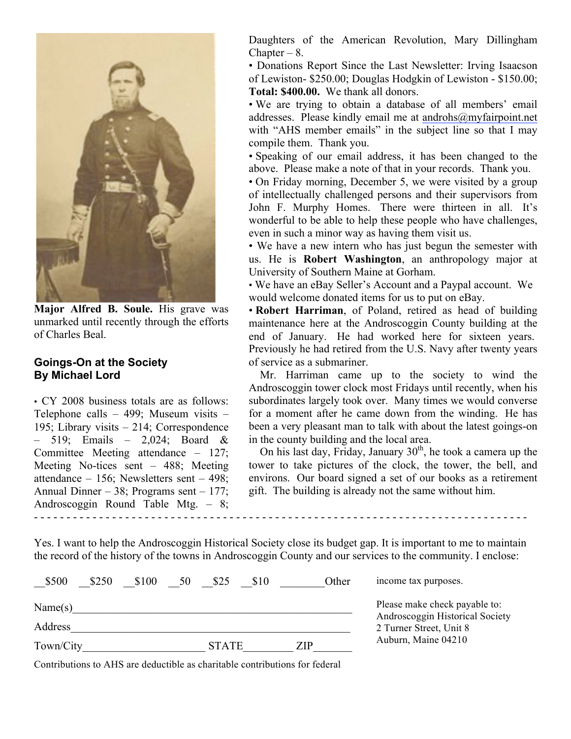

**Major Alfred B. Soule.** His grave was unmarked until recently through the efforts of Charles Beal.

#### **Goings-On at the Society By Michael Lord**

• CY 2008 business totals are as follows: Telephone calls – 499; Museum visits – 195; Library visits – 214; Correspondence – 519; Emails – 2,024; Board & Committee Meeting attendance – 127; Meeting No-tices sent – 488; Meeting attendance – 156; Newsletters sent – 498; Annual Dinner – 38; Programs sent – 177; Androscoggin Round Table Mtg. – 8; - - - - - - - - - - - - - - - - - - - - - - - - - - - - - - - - - - - - - - - - - - - - - - - - - - - - - - - - - - - - - - - - - - - - - - - - - - - -

Daughters of the American Revolution, Mary Dillingham Chapter –  $8.$ 

• Donations Report Since the Last Newsletter: Irving Isaacson of Lewiston- \$250.00; Douglas Hodgkin of Lewiston - \$150.00; **Total: \$400.00.** We thank all donors.

• We are trying to obtain a database of all members' email addresses. Please kindly email me at androhs@myfairpoint.net with "AHS member emails" in the subject line so that I may compile them. Thank you.

• Speaking of our email address, it has been changed to the above. Please make a note of that in your records. Thank you.

• On Friday morning, December 5, we were visited by a group of intellectually challenged persons and their supervisors from John F. Murphy Homes. There were thirteen in all. It's wonderful to be able to help these people who have challenges, even in such a minor way as having them visit us.

• We have a new intern who has just begun the semester with us. He is **Robert Washington**, an anthropology major at University of Southern Maine at Gorham.

• We have an eBay Seller's Account and a Paypal account. We would welcome donated items for us to put on eBay.

• **Robert Harriman**, of Poland, retired as head of building maintenance here at the Androscoggin County building at the end of January. He had worked here for sixteen years. Previously he had retired from the U.S. Navy after twenty years of service as a submariner.

 Mr. Harriman came up to the society to wind the Androscoggin tower clock most Fridays until recently, when his subordinates largely took over. Many times we would converse for a moment after he came down from the winding. He has been a very pleasant man to talk with about the latest goings-on in the county building and the local area.

On his last day, Friday, January  $30<sup>th</sup>$ , he took a camera up the tower to take pictures of the clock, the tower, the bell, and environs. Our board signed a set of our books as a retirement gift. The building is already not the same without him.

Yes. I want to help the Androscoggin Historical Society close its budget gap. It is important to me to maintain the record of the history of the towns in Androscoggin County and our services to the community. I enclose:

| \$500     | \$250 | \$100 | 50           | \$25 | \$10 |  | Other               | income tax purposes.                                       |  |  |
|-----------|-------|-------|--------------|------|------|--|---------------------|------------------------------------------------------------|--|--|
| Name(s)   |       |       |              |      |      |  |                     | Please make check payable to:                              |  |  |
| Address   |       |       |              |      |      |  |                     | Androscoggin Historical Society<br>2 Turner Street, Unit 8 |  |  |
| Town/City |       |       | <b>STATE</b> |      | ZIP  |  | Auburn, Maine 04210 |                                                            |  |  |

Contributions to AHS are deductible as charitable contributions for federal